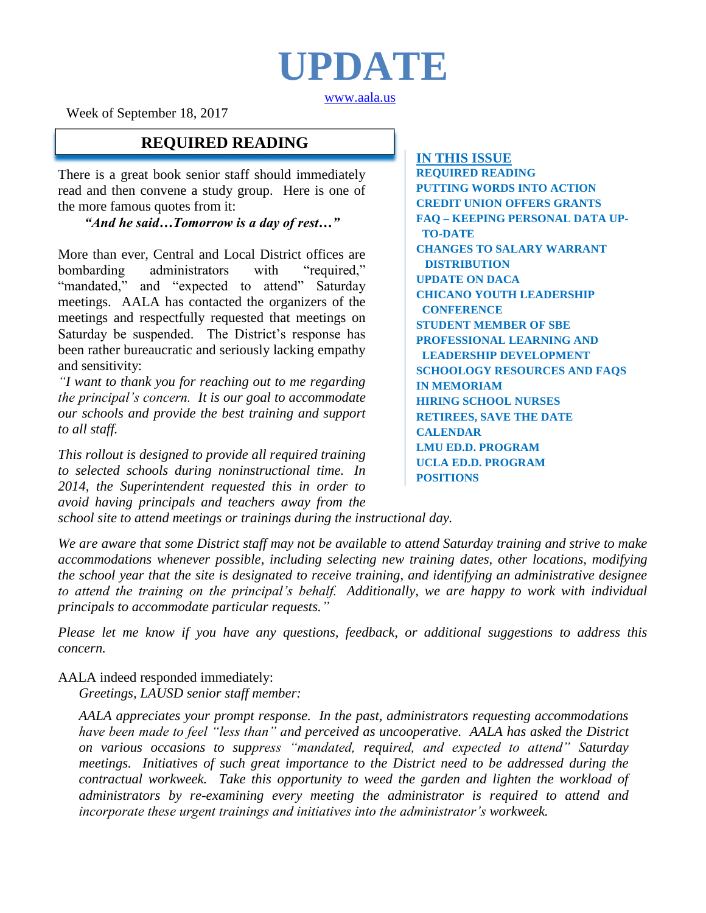

[www.aala.us](http://www.aala.us/)

Week of September 18, 2017

### **REQUIRED READING**

There is a great book senior staff should immediately read and then convene a study group. Here is one of the more famous quotes from it:

*"And he said…Tomorrow is a day of rest…"*

More than ever, Central and Local District offices are bombarding administrators with "required," "mandated," and "expected to attend" Saturday meetings. AALA has contacted the organizers of the meetings and respectfully requested that meetings on Saturday be suspended. The District's response has been rather bureaucratic and seriously lacking empathy and sensitivity:

*"I want to thank you for reaching out to me regarding the principal's concern. It is our goal to accommodate our schools and provide the best training and support to all staff.*

*This rollout is designed to provide all required training to selected schools during noninstructional time. In 2014, the Superintendent requested this in order to avoid having principals and teachers away from the*  **IN THIS ISSUE REQUIRED READING PUTTING WORDS INTO ACTION CREDIT UNION OFFERS GRANTS FAQ – KEEPING PERSONAL DATA UP-TO-DATE CHANGES TO SALARY WARRANT DISTRIBUTION UPDATE ON DACA CHICANO YOUTH LEADERSHIP CONFERENCE STUDENT MEMBER OF SBE PROFESSIONAL LEARNING AND LEADERSHIP DEVELOPMENT SCHOOLOGY RESOURCES AND FAQS IN MEMORIAM HIRING SCHOOL NURSES RETIREES, SAVE THE DATE CALENDAR LMU ED.D. PROGRAM UCLA ED.D. PROGRAM POSITIONS**

*school site to attend meetings or trainings during the instructional day.*

*We are aware that some District staff may not be available to attend Saturday training and strive to make accommodations whenever possible, including selecting new training dates, other locations, modifying the school year that the site is designated to receive training, and identifying an administrative designee to attend the training on the principal's behalf. Additionally, we are happy to work with individual principals to accommodate particular requests."*

*Please let me know if you have any questions, feedback, or additional suggestions to address this concern.*

AALA indeed responded immediately:

*Greetings, LAUSD senior staff member:*

*AALA appreciates your prompt response. In the past, administrators requesting accommodations have been made to feel "less than" and perceived as uncooperative. AALA has asked the District on various occasions to suppress "mandated, required, and expected to attend" Saturday meetings. Initiatives of such great importance to the District need to be addressed during the contractual workweek. Take this opportunity to weed the garden and lighten the workload of administrators by re-examining every meeting the administrator is required to attend and incorporate these urgent trainings and initiatives into the administrator's workweek.*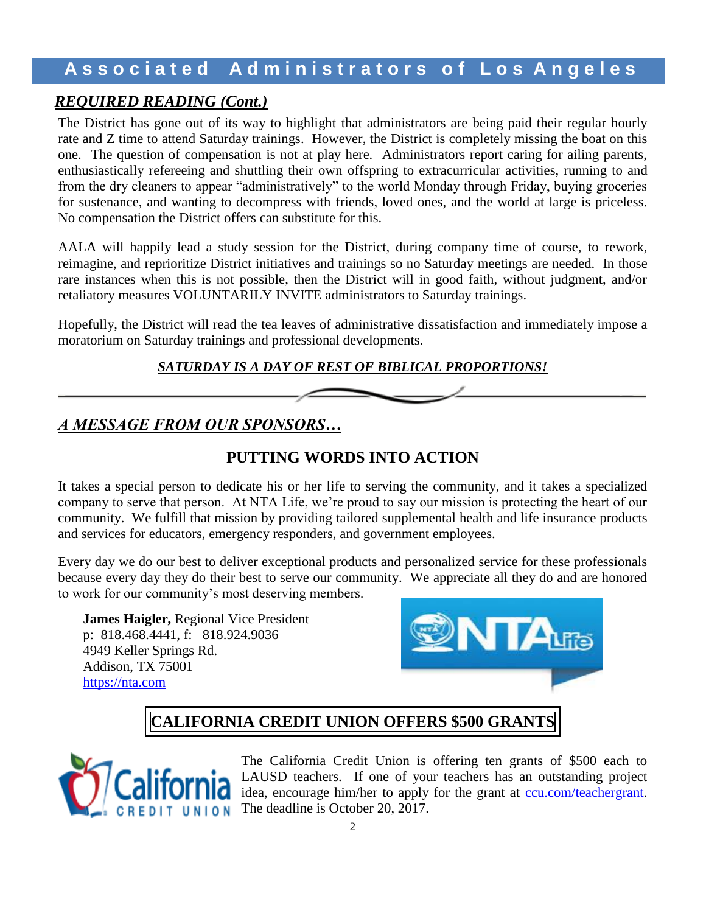### *REQUIRED READING (Cont.)*

The District has gone out of its way to highlight that administrators are being paid their regular hourly rate and Z time to attend Saturday trainings. However, the District is completely missing the boat on this one. The question of compensation is not at play here. Administrators report caring for ailing parents, enthusiastically refereeing and shuttling their own offspring to extracurricular activities, running to and from the dry cleaners to appear "administratively" to the world Monday through Friday, buying groceries for sustenance, and wanting to decompress with friends, loved ones, and the world at large is priceless. No compensation the District offers can substitute for this.

AALA will happily lead a study session for the District, during company time of course, to rework, reimagine, and reprioritize District initiatives and trainings so no Saturday meetings are needed. In those rare instances when this is not possible, then the District will in good faith, without judgment, and/or retaliatory measures VOLUNTARILY INVITE administrators to Saturday trainings.

Hopefully, the District will read the tea leaves of administrative dissatisfaction and immediately impose a moratorium on Saturday trainings and professional developments.

#### *SATURDAY IS A DAY OF REST OF BIBLICAL PROPORTIONS!*

## *A MESSAGE FROM OUR SPONSORS…*

## **PUTTING WORDS INTO ACTION**

It takes a special person to dedicate his or her life to serving the community, and it takes a specialized company to serve that person. At NTA Life, we're proud to say our mission is protecting the heart of our community. We fulfill that mission by providing tailored supplemental health and life insurance products and services for educators, emergency responders, and government employees.

Every day we do our best to deliver exceptional products and personalized service for these professionals because every day they do their best to serve our community. We appreciate all they do and are honored to work for our community's most deserving members.

**James Haigler,** Regional Vice President p: [818.468.4441,](tel:(818)468-4441) f: [818.924.9036](tel:(818)924-9036) [4949 Keller Springs Rd.](x-apple-data-detectors://0/3) [Addison, TX 75001](x-apple-data-detectors://0/3) [https://nta.com](https://nta.com/)



# **CALIFORNIA CREDIT UNION OFFERS \$500 GRANTS**



The California Credit Union is offering ten grants of \$500 each to LAUSD teachers. If one of your teachers has an outstanding project idea, encourage him/her to apply for the grant at **ccu.com/teachergrant**. The deadline is October 20, 2017.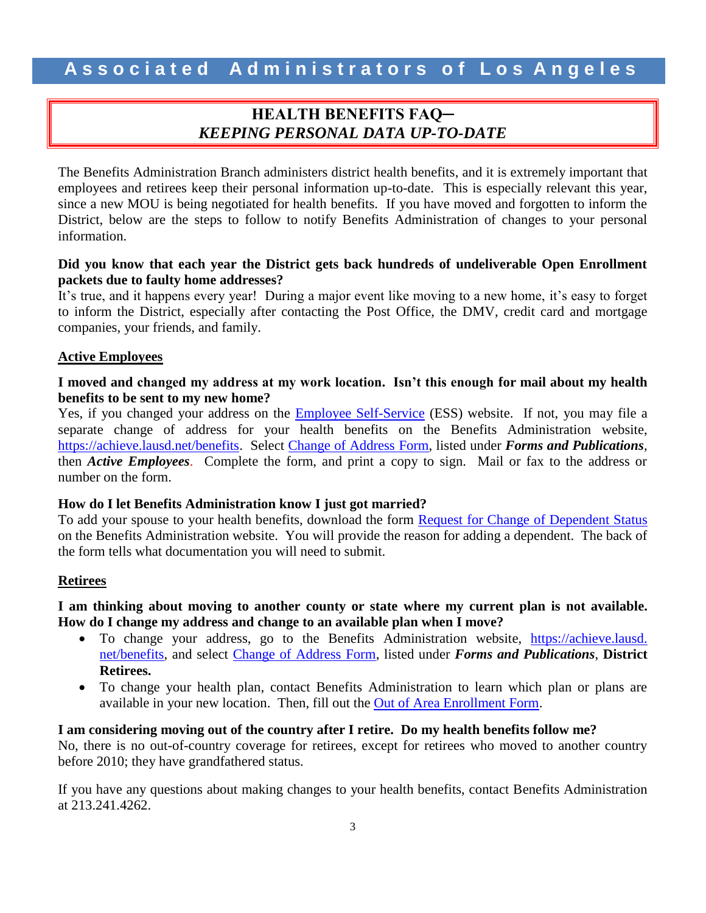### **HEALTH BENEFITS FAQ─** *KEEPING PERSONAL DATA UP-TO-DATE*

The Benefits Administration Branch administers district health benefits, and it is extremely important that employees and retirees keep their personal information up-to-date. This is especially relevant this year, since a new MOU is being negotiated for health benefits. If you have moved and forgotten to inform the District, below are the steps to follow to notify Benefits Administration of changes to your personal information.

#### **Did you know that each year the District gets back hundreds of undeliverable Open Enrollment packets due to faulty home addresses?**

It's true, and it happens every year! During a major event like moving to a new home, it's easy to forget to inform the District, especially after contacting the Post Office, the DMV, credit card and mortgage companies, your friends, and family.

#### **Active Employees**

#### **I moved and changed my address at my work location. Isn't this enough for mail about my health benefits to be sent to my new home?**

Yes, if you changed your address on the **Employee Self-Service** (ESS) website. If not, you may file a separate change of address for your health benefits on the Benefits Administration website, [https://achieve.lausd.net/benefits.](https://achieve.lausd.net/benefits) Select [Change of Address Form,](https://achieve.lausd.net/cms/lib08/CA01000043/Centricity/domain/133/benefits%20administration/active/2014%20Active%20LAUSD%20Change%20of%20Address%20Form%20wTimeStamp2.pdf) listed under *Forms and Publications*, then *Active Employees*. Complete the form, and print a copy to sign. Mail or fax to the address or number on the form.

#### **How do I let Benefits Administration know I just got married?**

To add your spouse to your health benefits, download the form [Request for Change of Dependent Status](https://achieve.lausd.net/cms/lib08/CA01000043/Centricity/domain/133/benefits%20administration/active/2017%20Request%20for%20Change%20of%20Dependent%20Status%20w.date%20-%20Active.pdf) on the Benefits Administration website. You will provide the reason for adding a dependent. The back of the form tells what documentation you will need to submit.

#### **Retirees**

#### **I am thinking about moving to another county or state where my current plan is not available. How do I change my address and change to an available plan when I move?**

- To change your address, go to the Benefits Administration website, https://achieve.lausd. net/benefits, and select [Change of Address Form,](https://achieve.lausd.net/cms/lib08/CA01000043/Centricity/domain/133/benefits%20administration/retiree/2014%20Retiree%20LAUSD%20Change%20of%20Address%20Form%20wTimeStamp2.pdf) listed under *Forms and Publications*, **District Retirees.**
- To change your health plan, contact Benefits Administration to learn which plan or plans are available in your new location. Then, fill out the [Out of Area Enrollment Form.](https://achieve.lausd.net/cms/lib08/CA01000043/Centricity/domain/133/benefits%20administration/retiree/2017%20Out%20of%20Area%20Enrollment%20Form%20101816%20w.date.pdf)

#### **I am considering moving out of the country after I retire. Do my health benefits follow me?**

No, there is no out-of-country coverage for retirees, except for retirees who moved to another country before 2010; they have grandfathered status.

If you have any questions about making changes to your health benefits, contact Benefits Administration at 213.241.4262.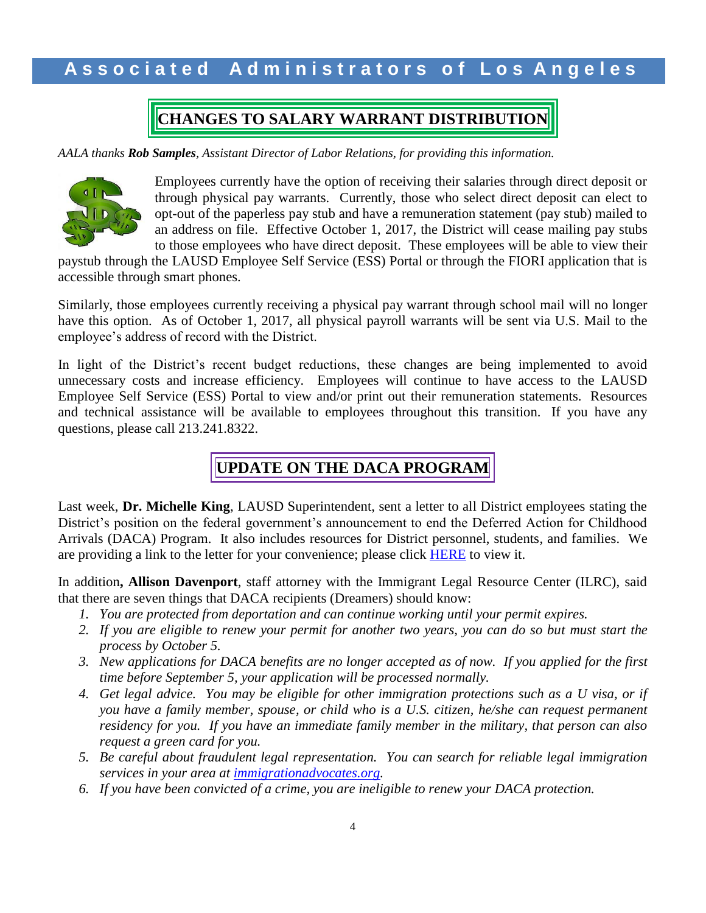# **CHANGES TO SALARY WARRANT DISTRIBUTION**

*AALA thanks Rob Samples, Assistant Director of Labor Relations, for providing this information.*



Employees currently have the option of receiving their salaries through direct deposit or through physical pay warrants. Currently, those who select direct deposit can elect to opt-out of the paperless pay stub and have a remuneration statement (pay stub) mailed to an address on file. Effective October 1, 2017, the District will cease mailing pay stubs to those employees who have direct deposit. These employees will be able to view their

paystub through the LAUSD Employee Self Service (ESS) Portal or through the FIORI application that is accessible through smart phones.

Similarly, those employees currently receiving a physical pay warrant through school mail will no longer have this option. As of October 1, 2017, all physical payroll warrants will be sent via U.S. Mail to the employee's address of record with the District.

In light of the District's recent budget reductions, these changes are being implemented to avoid unnecessary costs and increase efficiency. Employees will continue to have access to the LAUSD Employee Self Service (ESS) Portal to view and/or print out their remuneration statements. Resources and technical assistance will be available to employees throughout this transition. If you have any questions, please call 213.241.8322.

# **UPDATE ON THE DACA PROGRAM**

Last week, **Dr. Michelle King**, LAUSD Superintendent, sent a letter to all District employees stating the District's position on the federal government's announcement to end the Deferred Action for Childhood Arrivals (DACA) Program. It also includes resources for District personnel, students, and families. We are providing a link to the letter for your convenience; please click [HERE](http://www.aala.us/docs/2017/09/DACA-Letter-to-Employees-003-3.pdf) to view it.

In addition**, Allison Davenport**, staff attorney with the Immigrant Legal Resource Center (ILRC), said that there are seven things that DACA recipients (Dreamers) should know:

- *1. You are protected from deportation and can continue working until your permit expires.*
- *2. If you are eligible to renew your permit for another two years, you can do so but must start the process by October 5.*
- *3. New applications for DACA benefits are no longer accepted as of now. If you applied for the first time before September 5, your application will be processed normally.*
- *4. Get legal advice. You may be eligible for other immigration protections such as a U visa, or if you have a family member, spouse, or child who is a U.S. citizen, he/she can request permanent residency for you. If you have an immediate family member in the military, that person can also request a green card for you.*
- *5. Be careful about fraudulent legal representation. You can search for reliable legal immigration services in your area at [immigrationadvocates.org.](http://www.immigrationadvocates.org/)*
- *6. If you have been convicted of a crime, you are ineligible to renew your DACA protection.*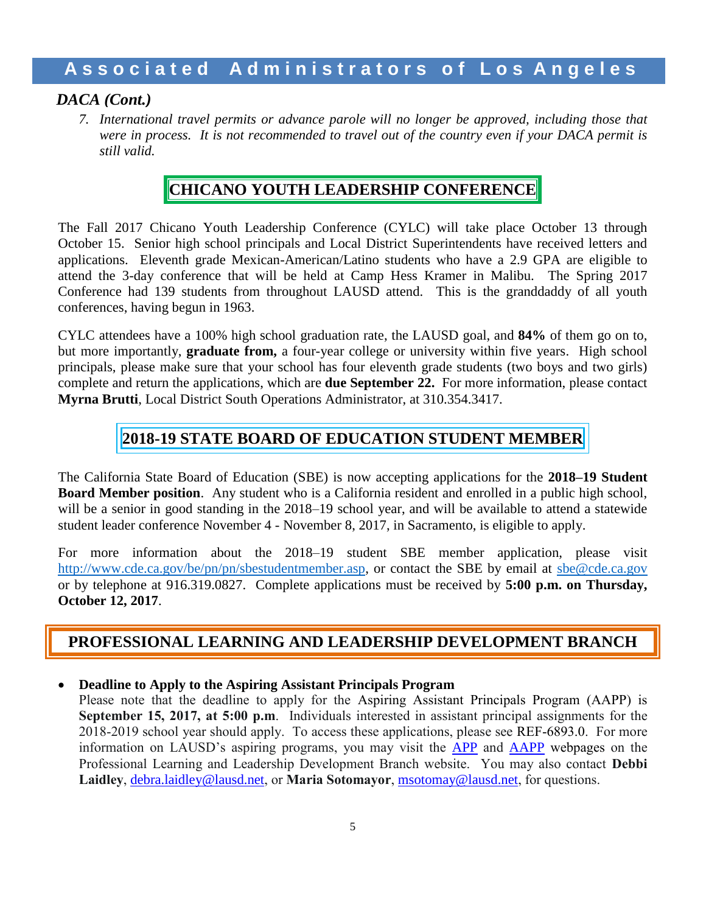### *DACA (Cont.)*

*7. International travel permits or advance parole will no longer be approved, including those that were in process. It is not recommended to travel out of the country even if your DACA permit is still valid.*

### **CHICANO YOUTH LEADERSHIP CONFERENCE**

The Fall 2017 Chicano Youth Leadership Conference (CYLC) will take place October 13 through October 15. Senior high school principals and Local District Superintendents have received letters and applications. Eleventh grade Mexican-American/Latino students who have a 2.9 GPA are eligible to attend the 3-day conference that will be held at Camp Hess Kramer in Malibu. The Spring 2017 Conference had 139 students from throughout LAUSD attend. This is the granddaddy of all youth conferences, having begun in 1963.

CYLC attendees have a 100% high school graduation rate, the LAUSD goal, and **84%** of them go on to, but more importantly, **graduate from,** a four-year college or university within five years. High school principals, please make sure that your school has four eleventh grade students (two boys and two girls) complete and return the applications, which are **due September 22.** For more information, please contact **Myrna Brutti**, Local District South Operations Administrator, at 310.354.3417.

# **2018-19 STATE BOARD OF EDUCATION STUDENT MEMBER**

The California State Board of Education (SBE) is now accepting applications for the **2018–19 Student Board Member position**. Any student who is a California resident and enrolled in a public high school, will be a senior in good standing in the 2018–19 school year, and will be available to attend a statewide student leader conference November 4 - November 8, 2017, in Sacramento, is eligible to apply.

For more information about the 2018–19 student SBE member application, please visit [http://www.cde.ca.gov/be/pn/pn/sbestudentmember.asp,](http://www.cde.ca.gov/be/pn/pn/sbestudentmember.asp) or contact the SBE by email at [sbe@cde.ca.gov](mailto:sbe@cde.ca.gov) or by telephone at [916.319.0827.](tel:(916)%20319-0827) Complete applications must be received by **5:00 p.m. on Thursday, October 12, 2017**.

## **PROFESSIONAL LEARNING AND LEADERSHIP DEVELOPMENT BRANCH**

#### **Deadline to Apply to the Aspiring Assistant Principals Program**

Please note that the deadline to apply for the Aspiring Assistant Principals Program (AAPP) is **September 15, 2017, at 5:00 p.m**. Individuals interested in assistant principal assignments for the 2018-2019 school year should apply. To access these applications, please see REF-6893.0. For more information on LAUSD's aspiring programs, you may visit the [APP](http://achieve.lausd.net/app) and [AAPP](http://achieve.lausd.net/aapp) webpages on the Professional Learning and Leadership Development Branch website. You may also contact **Debbi**  Laidley, [debra.laidley@lausd.net](mailto:debra.laidley@lausd.net), or Maria Sotomayor, [msotomay@lausd.net](mailto:msotomay@lausd.net), for questions.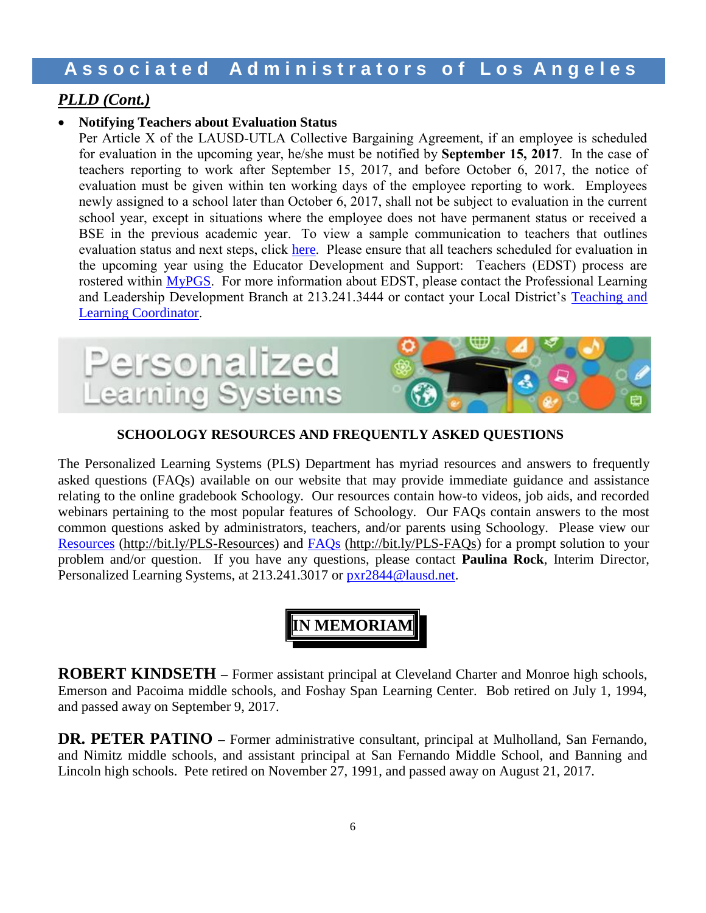### *PLLD (Cont.)*

#### **Notifying Teachers about Evaluation Status**

Per Article X of the LAUSD-UTLA Collective Bargaining Agreement, if an employee is scheduled for evaluation in the upcoming year, he/she must be notified by **September 15, 2017**. In the case of teachers reporting to work after September 15, 2017, and before October 6, 2017, the notice of evaluation must be given within ten working days of the employee reporting to work. Employees newly assigned to a school later than October 6, 2017, shall not be subject to evaluation in the current school year, except in situations where the employee does not have permanent status or received a BSE in the previous academic year. To view a sample communication to teachers that outlines evaluation status and next steps, click [here](https://achieve.lausd.net/cms/lib/CA01000043/Centricity/Domain/433/EDST%20Template%20Teacher%20Letter_08.2017.docx). Please ensure that all teachers scheduled for evaluation in the upcoming year using the Educator Development and Support: Teachers (EDST) process are rostered within [MyPGS](https://lausd.truenorthlogic.com/). For more information about EDST, please contact the Professional Learning and Leadership Development Branch at 213.241.3444 or contact your Local District's [Teaching and](http://achieve.lausd.net/cms/lib08/CA01000043/Centricity/Domain/433/TLC%20Contact%20List.pdf)  [Learning Coordinator](http://achieve.lausd.net/cms/lib08/CA01000043/Centricity/Domain/433/TLC%20Contact%20List.pdf).



#### **SCHOOLOGY RESOURCES AND FREQUENTLY ASKED QUESTIONS**

The Personalized Learning Systems (PLS) Department has myriad resources and answers to frequently asked questions (FAQs) available on our website that may provide immediate guidance and assistance relating to the online gradebook Schoology. Our resources contain how-to videos, job aids, and recorded webinars pertaining to the most popular features of Schoology. Our FAQs contain answers to the most common questions asked by administrators, teachers, and/or parents using Schoology. Please view our [Resources](http://bit.ly/PLS-Resources) [\(http://bit.ly/PLS-Resources\)](http://bit.ly/PLS-Resources) and FAQs [\(http://bit.ly/PLS-FAQs\)](http://bit.ly/PLS-FAQs) for a prompt solution to your problem and/or question. If you have any questions, please contact **Paulina Rock**, Interim Director, Personalized Learning Systems, at 213.241.3017 or [pxr2844@lausd.net.](mailto:pxr2844@lausd.net)

# **IN MEMORIAM**

**ROBERT KINDSETH –** Former assistant principal at Cleveland Charter and Monroe high schools, Emerson and Pacoima middle schools, and Foshay Span Learning Center. Bob retired on July 1, 1994, and passed away on September 9, 2017.

**DR. PETER PATINO –** Former administrative consultant, principal at Mulholland, San Fernando, and Nimitz middle schools, and assistant principal at San Fernando Middle School, and Banning and Lincoln high schools. Pete retired on November 27, 1991, and passed away on August 21, 2017.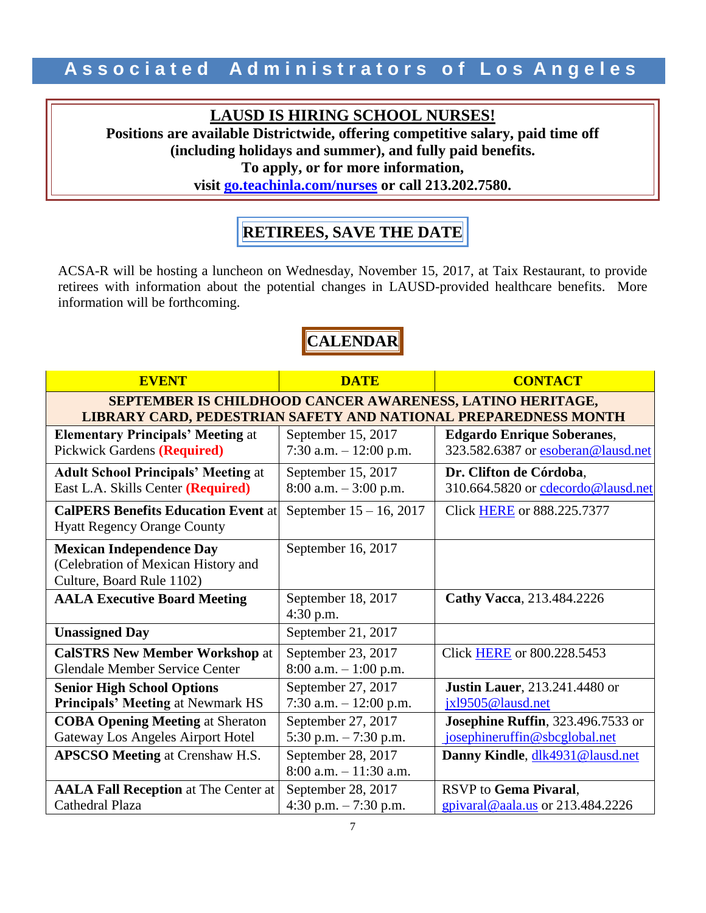### **LAUSD IS HIRING SCHOOL NURSES!**

**Positions are available Districtwide, offering competitive salary, paid time off (including holidays and summer), and fully paid benefits. To apply, or for more information,** 

**visit [go.teachinla.com/nurses](http://www.go.teachinla.com/nurses) or call 213.202.7580.**

# **RETIREES, SAVE THE DATE**

ACSA-R will be hosting a luncheon on Wednesday, November 15, 2017, at Taix Restaurant, to provide retirees with information about the potential changes in LAUSD-provided healthcare benefits. More information will be forthcoming.

# **CALENDAR**

| <b>EVENT</b>                                                                                                                 | <b>DATE</b>                                     | <b>CONTACT</b>                                                             |  |
|------------------------------------------------------------------------------------------------------------------------------|-------------------------------------------------|----------------------------------------------------------------------------|--|
| SEPTEMBER IS CHILDHOOD CANCER AWARENESS, LATINO HERITAGE,<br>LIBRARY CARD, PEDESTRIAN SAFETY AND NATIONAL PREPAREDNESS MONTH |                                                 |                                                                            |  |
| <b>Elementary Principals' Meeting at</b><br>Pickwick Gardens (Required)                                                      | September 15, 2017<br>7:30 a.m. $-12:00$ p.m.   | <b>Edgardo Enrique Soberanes,</b><br>323.582.6387 or esoberan@lausd.net    |  |
| <b>Adult School Principals' Meeting at</b><br>East L.A. Skills Center (Required)                                             | September 15, 2017<br>$8:00$ a.m. $-3:00$ p.m.  | Dr. Clifton de Córdoba,<br>310.664.5820 or cdecordo@lausd.net              |  |
| <b>CalPERS Benefits Education Event at</b><br><b>Hyatt Regency Orange County</b>                                             | September $15 - 16$ , 2017                      | Click HERE or 888.225.7377                                                 |  |
| <b>Mexican Independence Day</b><br>(Celebration of Mexican History and<br>Culture, Board Rule 1102)                          | September 16, 2017                              |                                                                            |  |
| <b>AALA Executive Board Meeting</b>                                                                                          | September 18, 2017<br>4:30 p.m.                 | Cathy Vacca, 213.484.2226                                                  |  |
| <b>Unassigned Day</b>                                                                                                        | September 21, 2017                              |                                                                            |  |
| <b>CalSTRS New Member Workshop at</b><br><b>Glendale Member Service Center</b>                                               | September 23, 2017<br>$8:00$ a.m. $-1:00$ p.m.  | Click <b>HERE</b> or 800.228.5453                                          |  |
| <b>Senior High School Options</b><br><b>Principals' Meeting at Newmark HS</b>                                                | September 27, 2017<br>7:30 a.m. $-12:00$ p.m.   | <b>Justin Lauer</b> , 213.241.4480 or<br>jxl9505@lausd.net                 |  |
| <b>COBA Opening Meeting at Sheraton</b><br>Gateway Los Angeles Airport Hotel                                                 | September 27, 2017<br>5:30 p.m. $-7:30$ p.m.    | <b>Josephine Ruffin</b> , 323.496.7533 or<br>josephineruffin@sbcglobal.net |  |
| <b>APSCSO Meeting at Crenshaw H.S.</b>                                                                                       | September 28, 2017<br>$8:00$ a.m. $-11:30$ a.m. | Danny Kindle, dlk4931@lausd.net                                            |  |
| <b>AALA Fall Reception at The Center at</b>                                                                                  | September 28, 2017                              | RSVP to Gema Pivaral,                                                      |  |
| Cathedral Plaza                                                                                                              | 4:30 p.m. $-7:30$ p.m.                          | $g$ pivaral@aala.us or 213.484.2226                                        |  |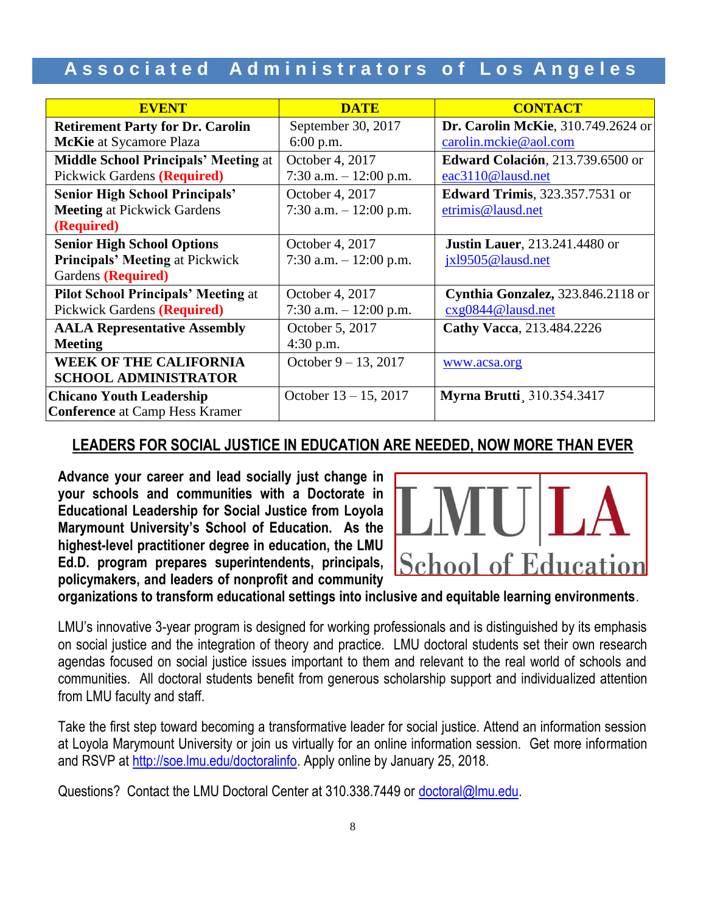| <b>EVENT</b>                                | <b>DATE</b>              | <b>CONTACT</b>                             |  |
|---------------------------------------------|--------------------------|--------------------------------------------|--|
| <b>Retirement Party for Dr. Carolin</b>     | September 30, 2017       | <b>Dr. Carolin McKie</b> , 310.749.2624 or |  |
| <b>McKie</b> at Sycamore Plaza              | $6:00$ p.m.              | carolin.mckie@aol.com                      |  |
| <b>Middle School Principals' Meeting at</b> | October 4, 2017          | <b>Edward Colación</b> , 213.739.6500 or   |  |
| <b>Pickwick Gardens (Required)</b>          | 7:30 a.m. $-12:00$ p.m.  | eac3110@lausd.net                          |  |
| <b>Senior High School Principals'</b>       | October 4, 2017          | <b>Edward Trimis</b> , 323.357.7531 or     |  |
| <b>Meeting at Pickwick Gardens</b>          | 7:30 a.m. $-12:00$ p.m.  | etrimis@lausd.net                          |  |
| (Required)                                  |                          |                                            |  |
| <b>Senior High School Options</b>           | October 4, 2017          | <b>Justin Lauer</b> , 213.241.4480 or      |  |
| <b>Principals' Meeting at Pickwick</b>      | 7:30 a.m. $-12:00$ p.m.  | jxl9505@lausd.net                          |  |
| Gardens (Required)                          |                          |                                            |  |
| <b>Pilot School Principals' Meeting at</b>  | October 4, 2017          | Cynthia Gonzalez, 323.846.2118 or          |  |
| Pickwick Gardens (Required)                 | 7:30 a.m. $-12:00$ p.m.  | cxg0844@lausd.net                          |  |
| <b>AALA Representative Assembly</b>         | October 5, 2017          | Cathy Vacca, 213.484.2226                  |  |
| <b>Meeting</b>                              | $4:30$ p.m.              |                                            |  |
| <b>WEEK OF THE CALIFORNIA</b>               | October $9 - 13$ , 2017  | www.acsa.org                               |  |
| <b>SCHOOL ADMINISTRATOR</b>                 |                          |                                            |  |
| <b>Chicano Youth Leadership</b>             | October $13 - 15$ , 2017 | <b>Myrna Brutti</b> , 310.354.3417         |  |
| <b>Conference</b> at Camp Hess Kramer       |                          |                                            |  |

### **LEADERS FOR SOCIAL JUSTICE IN EDUCATION ARE NEEDED, NOW MORE THAN EVER**

**Advance your career and lead socially just change in your schools and communities with a Doctorate in Educational Leadership for Social Justice from Loyola Marymount University's School of Education. As the highest-level practitioner degree in education, the LMU Ed.D. program prepares superintendents, principals, policymakers, and leaders of nonprofit and community** 



**organizations to transform educational settings into inclusive and equitable learning environments**.

LMU's innovative 3-year program is designed for working professionals and is distinguished by its emphasis on social justice and the integration of theory and practice. LMU doctoral students set their own research agendas focused on social justice issues important to them and relevant to the real world of schools and communities. All doctoral students benefit from generous scholarship support and individualized attention from LMU faculty and staff.

Take the first step toward becoming a transformative leader for social justice. Attend an information session at Loyola Marymount University or join us virtually for an online information session. Get more information and RSVP at [http://soe.lmu.edu/doctoralinfo.](http://soe.lmu.edu/doctoralinfo) Apply online by January 25, 2018.

Questions? Contact the LMU Doctoral Center at 310.338.7449 or [doctoral@lmu.edu.](mailto:doctoral@lmu.edu)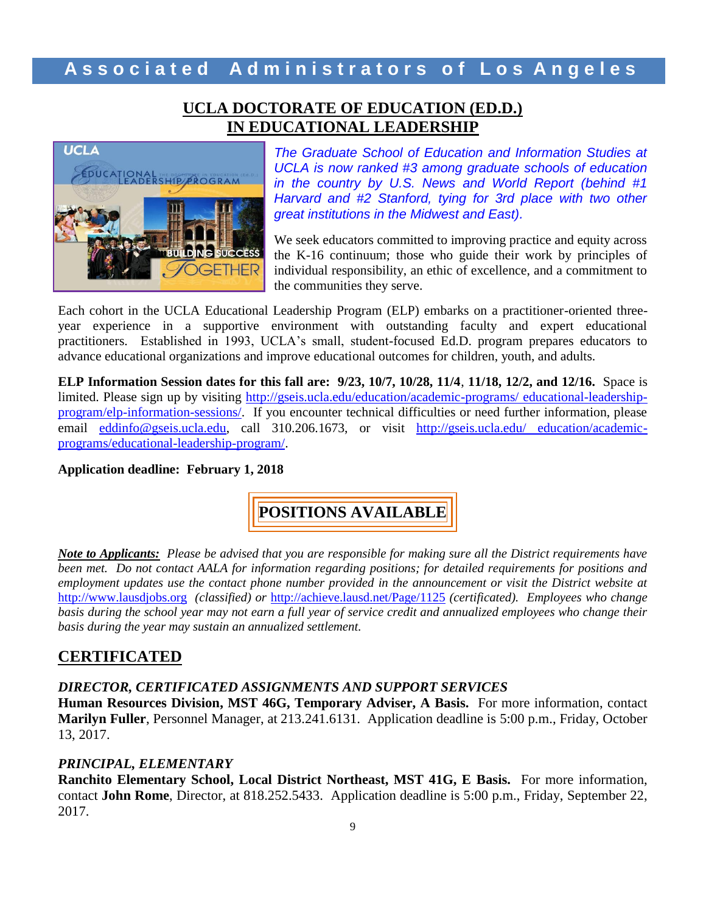### **UCLA DOCTORATE OF EDUCATION (ED.D.) IN EDUCATIONAL LEADERSHIP**



*The Graduate School of Education and Information Studies at UCLA is now ranked #3 among graduate schools of education in the country by U.S. News and World Report (behind #1 Harvard and #2 Stanford, tying for 3rd place with two other great institutions in the Midwest and East).*

We seek educators committed to improving practice and equity across the K-16 continuum; those who guide their work by principles of individual responsibility, an ethic of excellence, and a commitment to the communities they serve.

Each cohort in the UCLA Educational Leadership Program (ELP) embarks on a practitioner-oriented threeyear experience in a supportive environment with outstanding faculty and expert educational practitioners. Established in 1993, UCLA's small, student-focused Ed.D. program prepares educators to advance educational organizations and improve educational outcomes for children, youth, and adults.

**ELP Information Session dates for this fall are: 9/23, 10/7, 10/28, 11/4**, **11/18, 12/2, and 12/16.** Space is limited. Please sign up by visiting [http://gseis.ucla.edu/education/academic-programs/ educational-leadership](http://gseis.ucla.edu/education/academic-programs/%20educational-leadership-program/elp-information-sessions/)[program/elp-information-sessions/.](http://gseis.ucla.edu/education/academic-programs/%20educational-leadership-program/elp-information-sessions/) If you encounter technical difficulties or need further information, please email [eddinfo@gseis.ucla.edu,](mailto:eddinfo@gseis.ucla.edu) call 310.206.1673, or visit [http://gseis.ucla.edu/ education/academic](http://gseis.ucla.edu/%20education/academic-programs/educational-leadership-program/)[programs/educational-leadership-program/.](http://gseis.ucla.edu/%20education/academic-programs/educational-leadership-program/)

**Application deadline: February 1, 2018**

**POSITIONS AVAILABLE**

*Note to Applicants: Please be advised that you are responsible for making sure all the District requirements have been met. Do not contact AALA for information regarding positions; for detailed requirements for positions and employment updates use the contact phone number provided in the announcement or visit the District website at*  [http://www.lausdjobs.org](http://www.lausdjobs.org/) *(classified) or* <http://achieve.lausd.net/Page/1125> *(certificated). Employees who change basis during the school year may not earn a full year of service credit and annualized employees who change their basis during the year may sustain an annualized settlement.*

#### **CERTIFICATED**

*DIRECTOR, CERTIFICATED ASSIGNMENTS AND SUPPORT SERVICES*

**Human Resources Division, MST 46G, Temporary Adviser, A Basis.** For more information, contact **Marilyn Fuller**, Personnel Manager, at 213.241.6131. Application deadline is 5:00 p.m., Friday, October 13, 2017.

#### *PRINCIPAL, ELEMENTARY*

**Ranchito Elementary School, Local District Northeast, MST 41G, E Basis.** For more information, contact **John Rome**, Director, at 818.252.5433. Application deadline is 5:00 p.m., Friday, September 22, 2017.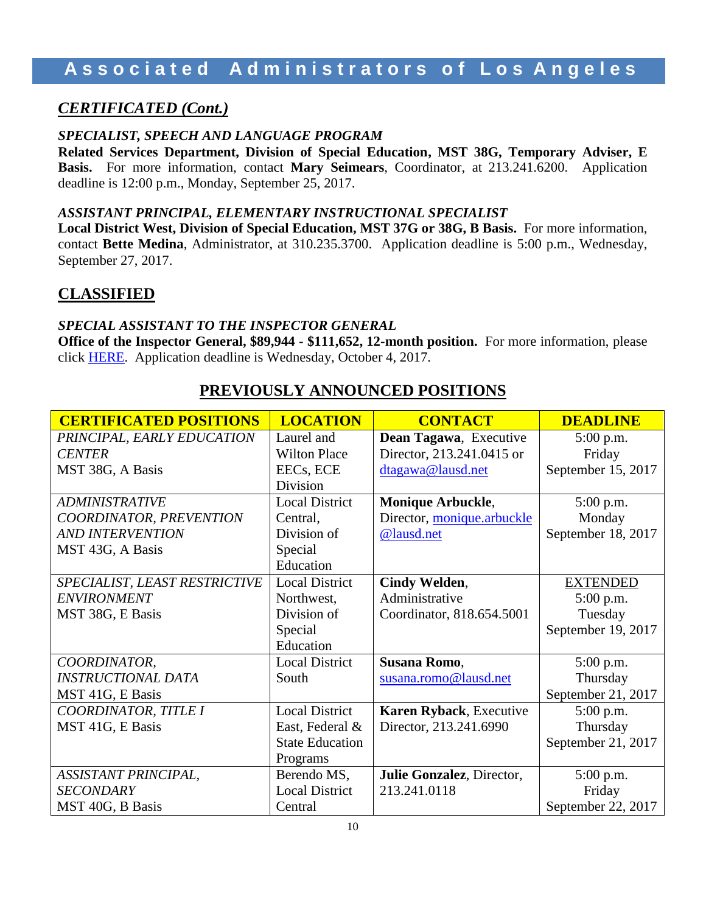# **A s s o c i a t e d A d m i n i s t r a t o r s o f L o s A n g e l e s**

### *CERTIFICATED (Cont.)*

#### *SPECIALIST, SPEECH AND LANGUAGE PROGRAM*

**Related Services Department, Division of Special Education, MST 38G, Temporary Adviser, E Basis.** For more information, contact **Mary Seimears**, Coordinator, at 213.241.6200. Application deadline is 12:00 p.m., Monday, September 25, 2017.

#### *ASSISTANT PRINCIPAL, ELEMENTARY INSTRUCTIONAL SPECIALIST*

**Local District West, Division of Special Education, MST 37G or 38G, B Basis.** For more information, contact **Bette Medina**, Administrator, at 310.235.3700. Application deadline is 5:00 p.m., Wednesday, September 27, 2017.

### **CLASSIFIED**

#### *SPECIAL ASSISTANT TO THE INSPECTOR GENERAL*

**Office of the Inspector General, \$89,944 - \$111,652, 12-month position.** For more information, please click [HERE.](https://btserec.lausd.net/sap/bc/webdynpro/sap/zerwd_a_refcode_srch_int?sap-client=910) Application deadline is Wednesday, October 4, 2017.

| <b>CERTIFICATED POSITIONS</b> | <b>LOCATION</b>        | <b>CONTACT</b>             | <b>DEADLINE</b>    |
|-------------------------------|------------------------|----------------------------|--------------------|
| PRINCIPAL, EARLY EDUCATION    | Laurel and             | Dean Tagawa, Executive     | $5:00$ p.m.        |
| <b>CENTER</b>                 | <b>Wilton Place</b>    | Director, 213.241.0415 or  | Friday             |
| MST 38G, A Basis              | EECs, ECE              | dtagawa@lausd.net          | September 15, 2017 |
|                               | <b>Division</b>        |                            |                    |
| <b>ADMINISTRATIVE</b>         | <b>Local District</b>  | <b>Monique Arbuckle,</b>   | 5:00 p.m.          |
| COORDINATOR, PREVENTION       | Central,               | Director, monique.arbuckle | Monday             |
| <b>AND INTERVENTION</b>       | Division of            | @lausd.net                 | September 18, 2017 |
| MST 43G, A Basis              | Special                |                            |                    |
|                               | Education              |                            |                    |
| SPECIALIST, LEAST RESTRICTIVE | <b>Local District</b>  | Cindy Welden,              | <b>EXTENDED</b>    |
| <b>ENVIRONMENT</b>            | Northwest,             | Administrative             | 5:00 p.m.          |
| MST 38G, E Basis              | Division of            | Coordinator, 818.654.5001  | Tuesday            |
|                               | Special                |                            | September 19, 2017 |
|                               | Education              |                            |                    |
| COORDINATOR,                  | <b>Local District</b>  | Susana Romo,               | 5:00 p.m.          |
| <b>INSTRUCTIONAL DATA</b>     | South                  | susana.romo@lausd.net      | Thursday           |
| MST 41G, E Basis              |                        |                            | September 21, 2017 |
| COORDINATOR, TITLE I          | <b>Local District</b>  | Karen Ryback, Executive    | 5:00 p.m.          |
| MST 41G, E Basis              | East, Federal &        | Director, 213.241.6990     | Thursday           |
|                               | <b>State Education</b> |                            | September 21, 2017 |
|                               | Programs               |                            |                    |
| ASSISTANT PRINCIPAL,          | Berendo MS,            | Julie Gonzalez, Director,  | 5:00 p.m.          |
| <b>SECONDARY</b>              | <b>Local District</b>  | 213.241.0118               | Friday             |
| MST 40G, B Basis              | Central                |                            | September 22, 2017 |

### **PREVIOUSLY ANNOUNCED POSITIONS**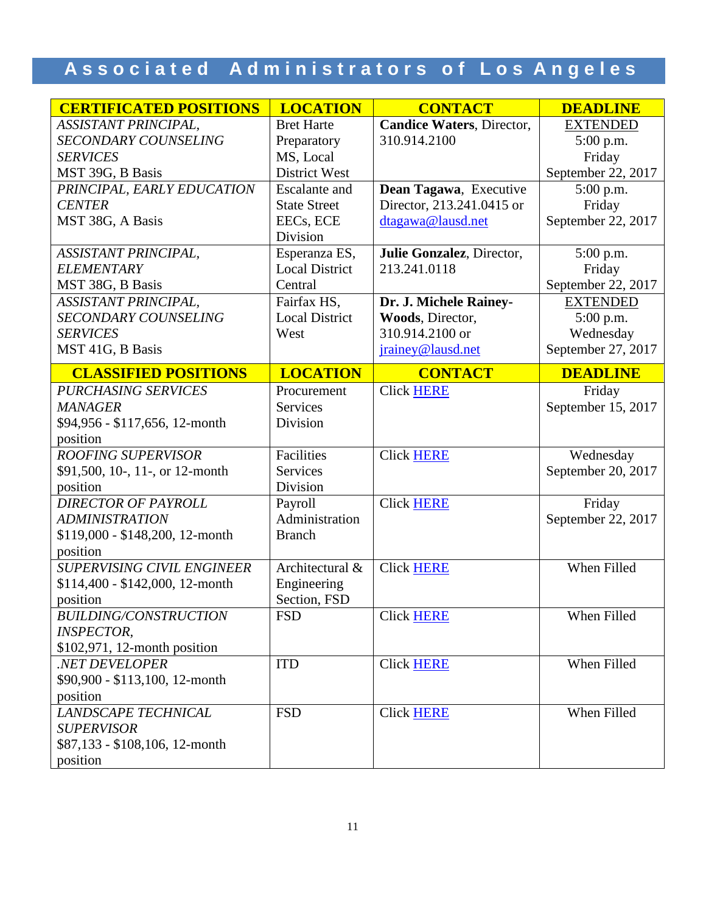| <b>CERTIFICATED POSITIONS</b>     | <b>LOCATION</b>       | <b>CONTACT</b>            | <b>DEADLINE</b>    |
|-----------------------------------|-----------------------|---------------------------|--------------------|
| ASSISTANT PRINCIPAL,              | <b>Bret Harte</b>     | Candice Waters, Director, | <b>EXTENDED</b>    |
| <b>SECONDARY COUNSELING</b>       | Preparatory           | 310.914.2100              | 5:00 p.m.          |
| <b>SERVICES</b>                   | MS, Local             |                           | Friday             |
| MST 39G, B Basis                  | <b>District West</b>  |                           | September 22, 2017 |
| PRINCIPAL, EARLY EDUCATION        | <b>Escalante</b> and  | Dean Tagawa, Executive    | 5:00 p.m.          |
| <b>CENTER</b>                     | <b>State Street</b>   | Director, 213.241.0415 or | Friday             |
| MST 38G, A Basis                  | EECs, ECE             | dtagawa@lausd.net         | September 22, 2017 |
|                                   | Division              |                           |                    |
| ASSISTANT PRINCIPAL,              | Esperanza ES,         | Julie Gonzalez, Director, | 5:00 p.m.          |
| <b>ELEMENTARY</b>                 | <b>Local District</b> | 213.241.0118              | Friday             |
| MST 38G, B Basis                  | Central               |                           | September 22, 2017 |
| <b>ASSISTANT PRINCIPAL,</b>       | Fairfax HS,           | Dr. J. Michele Rainey-    | <b>EXTENDED</b>    |
| <b>SECONDARY COUNSELING</b>       | <b>Local District</b> | Woods, Director,          | 5:00 p.m.          |
| <b>SERVICES</b>                   | West                  | 310.914.2100 or           | Wednesday          |
| MST 41G, B Basis                  |                       | jrainey@lausd.net         | September 27, 2017 |
| <b>CLASSIFIED POSITIONS</b>       | <b>LOCATION</b>       | <b>CONTACT</b>            | <b>DEADLINE</b>    |
| <b>PURCHASING SERVICES</b>        | Procurement           | <b>Click HERE</b>         | Friday             |
| <b>MANAGER</b>                    | <b>Services</b>       |                           | September 15, 2017 |
| \$94,956 - \$117,656, 12-month    | Division              |                           |                    |
| position                          |                       |                           |                    |
| <b>ROOFING SUPERVISOR</b>         | Facilities            | <b>Click HERE</b>         | Wednesday          |
| \$91,500, 10-, 11-, or 12-month   | Services              |                           | September 20, 2017 |
| position                          | Division              |                           |                    |
| <b>DIRECTOR OF PAYROLL</b>        | Payroll               | <b>Click HERE</b>         | Friday             |
| <b>ADMINISTRATION</b>             | Administration        |                           | September 22, 2017 |
| \$119,000 - \$148,200, 12-month   | <b>Branch</b>         |                           |                    |
| position                          |                       |                           |                    |
| <b>SUPERVISING CIVIL ENGINEER</b> | Architectural &       | <b>Click HERE</b>         | When Filled        |
| $$114,400 - $142,000, 12$ -month  | Engineering           |                           |                    |
| position                          | Section, FSD          |                           |                    |
| <b>BUILDING/CONSTRUCTION</b>      | <b>FSD</b>            | <b>Click HERE</b>         | When Filled        |
| <b>INSPECTOR,</b>                 |                       |                           |                    |
| \$102,971, 12-month position      |                       |                           |                    |
| .NET DEVELOPER                    | <b>ITD</b>            | <b>Click HERE</b>         | When Filled        |
| \$90,900 - \$113,100, 12-month    |                       |                           |                    |
| position                          |                       |                           |                    |
| LANDSCAPE TECHNICAL               | <b>FSD</b>            | <b>Click HERE</b>         | When Filled        |
| <b>SUPERVISOR</b>                 |                       |                           |                    |
| \$87,133 - \$108,106, 12-month    |                       |                           |                    |
| position                          |                       |                           |                    |